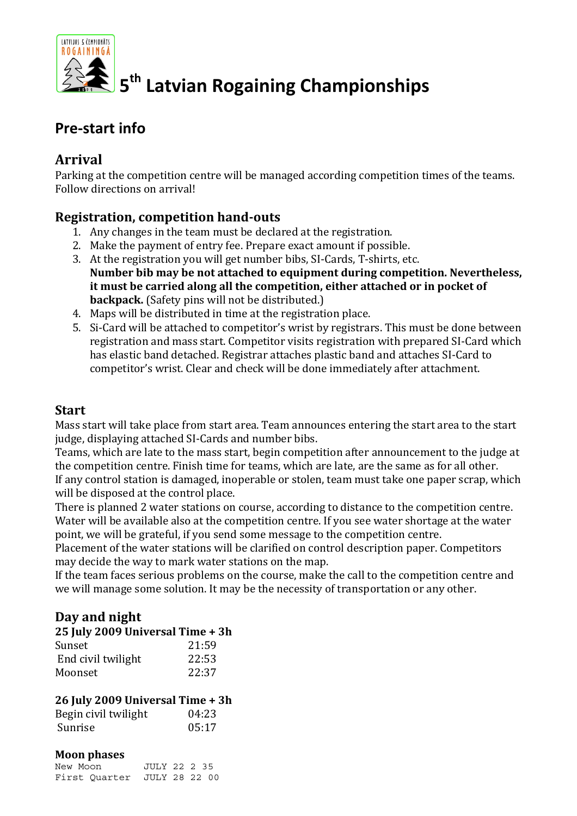

# **5th Latvian Rogaining Championships**

# **Pre-start info**

### **Arrival**

Parking at the competition centre will be managed according competition times of the teams. Follow directions on arrival!

#### **Registration, competition hand-outs**

- 1. Any changes in the team must be declared at the registration.
- 2. Make the payment of entry fee. Prepare exact amount if possible.
- 3. At the registration you will get number bibs, SI-Cards, T-shirts, etc. **Number bib may be not attached to equipment during competition. Nevertheless, it must be carried along all the competition, either attached or in pocket of backpack.** (Safety pins will not be distributed.)
- 4. Maps will be distributed in time at the registration place.
- 5. Si-Card will be attached to competitor's wrist by registrars. This must be done between registration and mass start. Competitor visits registration with prepared SI-Card which has elastic band detached. Registrar attaches plastic band and attaches SI-Card to competitor's wrist. Clear and check will be done immediately after attachment.

#### **Start**

Mass start will take place from start area. Team announces entering the start area to the start judge, displaying attached SI-Cards and number bibs.

Teams, which are late to the mass start, begin competition after announcement to the judge at the competition centre. Finish time for teams, which are late, are the same as for all other. If any control station is damaged, inoperable or stolen, team must take one paper scrap, which will be disposed at the control place.

There is planned 2 water stations on course, according to distance to the competition centre. Water will be available also at the competition centre. If you see water shortage at the water point, we will be grateful, if you send some message to the competition centre.

Placement of the water stations will be clarified on control description paper. Competitors may decide the way to mark water stations on the map.

If the team faces serious problems on the course, make the call to the competition centre and we will manage some solution. It may be the necessity of transportation or any other.

#### **Day and night**

#### **25 July 2009 Universal Time + 3h**

| Sunset             | 21:59 |
|--------------------|-------|
| End civil twilight | 22:53 |
| Moonset            | 22:37 |

#### **26 July 2009 Universal Time + 3h**

| Begin civil twilight | 04:23 |
|----------------------|-------|
| Sunrise              | 05:17 |

#### **Moon phases**

| New Moon                    | <b>JULY 22 2 35</b> |  |
|-----------------------------|---------------------|--|
| First Quarter JULY 28 22 00 |                     |  |